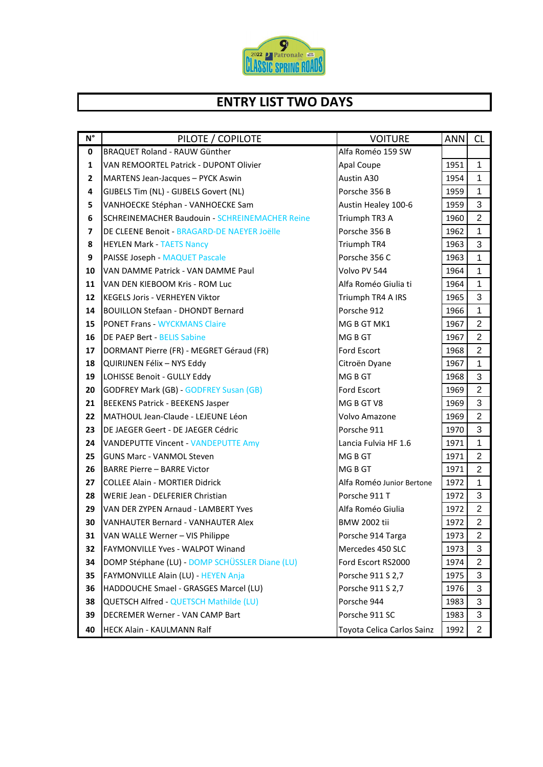

## **ENTRY LIST TWO DAYS**

| $N^{\circ}$ | PILOTE / COPILOTE                                     | <b>VOITURE</b>             | ANNI | <b>CL</b>      |
|-------------|-------------------------------------------------------|----------------------------|------|----------------|
| 0           | BRAQUET Roland - RAUW Günther                         | Alfa Roméo 159 SW          |      |                |
| 1           | VAN REMOORTEL Patrick - DUPONT Olivier                | Apal Coupe                 | 1951 | $\mathbf{1}$   |
| 2           | MARTENS Jean-Jacques - PYCK Aswin                     | Austin A30                 | 1954 | 1              |
| 4           | GIJBELS Tim (NL) - GIJBELS Govert (NL)                | Porsche 356 B              | 1959 | $\mathbf{1}$   |
| 5           | VANHOECKE Stéphan - VANHOECKE Sam                     | Austin Healey 100-6        | 1959 | 3              |
| 6           | <b>SCHREINEMACHER Baudouin - SCHREINEMACHER Reine</b> | Triumph TR3 A              | 1960 | $\overline{2}$ |
| 7           | DE CLEENE Benoit - BRAGARD-DE NAEYER Joëlle           | Porsche 356 B              | 1962 | 1              |
| 8           | <b>HEYLEN Mark - TAETS Nancy</b>                      | Triumph TR4                | 1963 | 3              |
| 9           | <b>PAISSE Joseph - MAQUET Pascale</b>                 | Porsche 356 C              | 1963 | $\mathbf{1}$   |
| 10          | VAN DAMME Patrick - VAN DAMME Paul                    | Volvo PV 544               | 1964 | 1              |
| 11          | VAN DEN KIEBOOM Kris - ROM Luc                        | Alfa Roméo Giulia ti       | 1964 | 1              |
| 12          | KEGELS Joris - VERHEYEN Viktor                        | Triumph TR4 A IRS          | 1965 | 3              |
| 14          | <b>BOUILLON Stefaan - DHONDT Bernard</b>              | Porsche 912                | 1966 | $\mathbf{1}$   |
| 15          | <b>PONET Frans - WYCKMANS Claire</b>                  | MG B GT MK1                | 1967 | $\overline{c}$ |
| 16          | <b>DE PAEP Bert - BELIS Sabine</b>                    | MG B GT                    | 1967 | $\overline{2}$ |
| 17          | DORMANT Pierre (FR) - MEGRET Géraud (FR)              | Ford Escort                | 1968 | 2              |
| 18          | QUIRIJNEN Félix - NYS Eddy                            | Citroën Dyane              | 1967 | 1              |
| 19          | LOHISSE Benoit - GULLY Eddy                           | MG B GT                    | 1968 | 3              |
| 20          | <b>GODFREY Mark (GB) - GODFREY Susan (GB)</b>         | Ford Escort                | 1969 | $\overline{2}$ |
| 21          | <b>BEEKENS Patrick - BEEKENS Jasper</b>               | MG B GT V8                 | 1969 | 3              |
| 22          | MATHOUL Jean-Claude - LEJEUNE Léon                    | Volvo Amazone              | 1969 | $\overline{2}$ |
| 23          | DE JAEGER Geert - DE JAEGER Cédric                    | Porsche 911                | 1970 | 3              |
| 24          | <b>VANDEPUTTE Vincent - VANDEPUTTE Amy</b>            | Lancia Fulvia HF 1.6       | 1971 | $\mathbf{1}$   |
| 25          | <b>GUNS Marc - VANMOL Steven</b>                      | MG B GT                    | 1971 | $\overline{2}$ |
| 26          | <b>BARRE Pierre - BARRE Victor</b>                    | MG B GT                    | 1971 | $\overline{2}$ |
| 27          | <b>COLLEE Alain - MORTIER Didrick</b>                 | Alfa Roméo Junior Bertone  | 1972 | 1              |
| 28          | WERIE Jean - DELFERIER Christian                      | Porsche 911 T              | 1972 | 3              |
| 29          | VAN DER ZYPEN Arnaud - LAMBERT Yves                   | Alfa Roméo Giulia          | 1972 | $\overline{2}$ |
| 30          | <b>IVANHAUTER Bernard - VANHAUTER Alex</b>            | <b>BMW 2002 tii</b>        | 1972 | $\overline{2}$ |
| 31          | VAN WALLE Werner - VIS Philippe                       | Porsche 914 Targa          | 1973 | $\overline{2}$ |
| 32          | FAYMONVILLE Yves - WALPOT Winand                      | Mercedes 450 SLC           | 1973 | 3              |
| 34          | DOMP Stéphane (LU) - DOMP SCHÜSSLER Diane (LU)        | Ford Escort RS2000         | 1974 | $\overline{c}$ |
| 35          | FAYMONVILLE Alain (LU) - HEYEN Anja                   | Porsche 911 S 2,7          | 1975 | 3              |
| 36          | HADDOUCHE Smael - GRASGES Marcel (LU)                 | Porsche 911 S 2,7          | 1976 | 3              |
| 38          | <b>QUETSCH Alfred - QUETSCH Mathilde (LU)</b>         | Porsche 944                | 1983 | 3              |
| 39          | DECREMER Werner - VAN CAMP Bart                       | Porsche 911 SC             | 1983 | 3              |
| 40          | <b>HECK Alain - KAULMANN Ralf</b>                     | Toyota Celica Carlos Sainz | 1992 | $\overline{2}$ |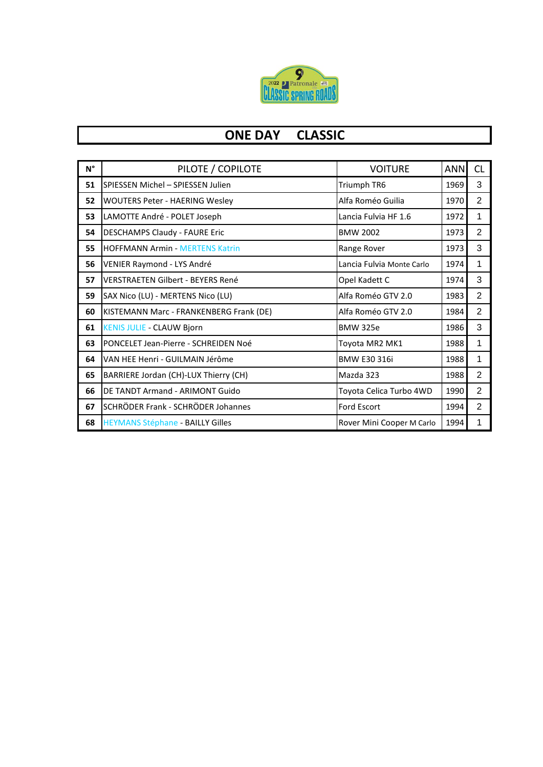

## **ONE DAY CLASSIC**

| $\mathsf{N}^\circ$ | PILOTE / COPILOTE                       | <b>VOITURE</b>            | <b>ANN</b> | <b>CL</b>      |
|--------------------|-----------------------------------------|---------------------------|------------|----------------|
| 51                 | SPIESSEN Michel - SPIESSEN Julien       | Triumph TR6               | 1969       | 3              |
| 52                 | <b>WOUTERS Peter - HAERING Wesley</b>   | Alfa Roméo Guilia         | 1970       | 2              |
| 53                 | LAMOTTE André - POLET Joseph            | Lancia Fulvia HF 1.6      | 1972       | 1              |
| 54                 | <b>DESCHAMPS Claudy - FAURE Eric</b>    | <b>BMW 2002</b>           | 1973       | $\overline{2}$ |
| 55                 | <b>HOFFMANN Armin - MERTENS Katrin</b>  | Range Rover               | 1973       | 3              |
| 56                 | VENIER Raymond - LYS André              | Lancia Fulvia Monte Carlo | 1974       | 1              |
| 57                 | VERSTRAETEN Gilbert - BEYERS René       | Opel Kadett C             | 1974       | 3              |
| 59                 | SAX Nico (LU) - MERTENS Nico (LU)       | Alfa Roméo GTV 2.0        | 1983       | 2              |
| 60                 | KISTEMANN Marc - FRANKENBERG Frank (DE) | Alfa Roméo GTV 2.0        | 1984       | 2              |
| 61                 | <b>KENIS JULIE - CLAUW Bjorn</b>        | <b>BMW 325e</b>           | 1986       | 3              |
| 63                 | PONCELET Jean-Pierre - SCHREIDEN Noé    | Toyota MR2 MK1            | 1988       | 1              |
| 64                 | VAN HEE Henri - GUILMAIN Jérôme         | <b>BMW E30 316i</b>       | 1988       | 1              |
| 65                 | BARRIERE Jordan (CH)-LUX Thierry (CH)   | Mazda 323                 | 1988       | 2              |
| 66                 | DE TANDT Armand - ARIMONT Guido         | Toyota Celica Turbo 4WD   | 1990       | 2              |
| 67                 | SCHRÖDER Frank - SCHRÖDER Johannes      | Ford Escort               | 1994       | 2              |
| 68                 | <b>HEYMANS Stéphane - BAILLY Gilles</b> | Rover Mini Cooper M Carlo | 1994       | 1              |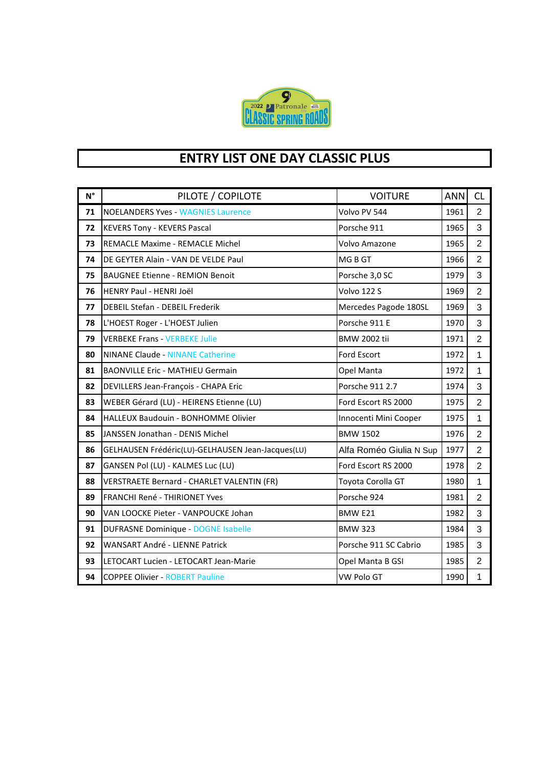

## **ENTRY LIST ONE DAY CLASSIC PLUS**

| $N^{\circ}$ | PILOTE / COPILOTE                                 | <b>VOITURE</b>          | <b>ANN</b> | CL             |
|-------------|---------------------------------------------------|-------------------------|------------|----------------|
| 71          | <b>NOELANDERS Yves - WAGNIES Laurence</b>         | Volvo PV 544            | 1961       | $\overline{2}$ |
| 72          | <b>KEVERS Tony - KEVERS Pascal</b>                | Porsche 911             | 1965       | 3              |
| 73          | REMACLE Maxime - REMACLE Michel                   | Volvo Amazone           | 1965       | $\overline{2}$ |
| 74          | DE GEYTER Alain - VAN DE VELDE Paul               | MG B GT                 | 1966       | $\overline{2}$ |
| 75          | <b>BAUGNEE Etienne - REMION Benoit</b>            | Porsche 3,0 SC          | 1979       | 3              |
| 76          | HENRY Paul - HENRI Joël                           | Volvo 122 S             | 1969       | $\overline{2}$ |
| 77          | DEBEIL Stefan - DEBEIL Frederik                   | Mercedes Pagode 180SL   | 1969       | 3              |
| 78          | L'HOEST Roger - L'HOEST Julien                    | Porsche 911 E           | 1970       | 3              |
| 79          | <b>VERBEKE Frans - VERBEKE Julie</b>              | <b>BMW 2002 tii</b>     | 1971       | $\overline{2}$ |
| 80          | <b>NINANE Claude - NINANE Catherine</b>           | Ford Escort             | 1972       | $\mathbf{1}$   |
| 81          | <b>BAONVILLE Eric - MATHIEU Germain</b>           | Opel Manta              | 1972       | $\mathbf{1}$   |
| 82          | DEVILLERS Jean-François - CHAPA Eric              | Porsche 911 2.7         | 1974       | 3              |
| 83          | WEBER Gérard (LU) - HEIRENS Etienne (LU)          | Ford Escort RS 2000     | 1975       | $\overline{2}$ |
| 84          | HALLEUX Baudouin - BONHOMME Olivier               | Innocenti Mini Cooper   | 1975       | $\mathbf{1}$   |
| 85          | JANSSEN Jonathan - DENIS Michel                   | <b>BMW 1502</b>         | 1976       | $\overline{2}$ |
| 86          | GELHAUSEN Frédéric(LU)-GELHAUSEN Jean-Jacques(LU) | Alfa Roméo Giulia N Sup | 1977       | $\overline{2}$ |
| 87          | GANSEN Pol (LU) - KALMES Luc (LU)                 | Ford Escort RS 2000     | 1978       | $\overline{2}$ |
| 88          | VERSTRAETE Bernard - CHARLET VALENTIN (FR)        | Toyota Corolla GT       | 1980       | $\mathbf{1}$   |
| 89          | <b>FRANCHI René - THIRIONET Yves</b>              | Porsche 924             | 1981       | 2              |
| 90          | VAN LOOCKE Pieter - VANPOUCKE Johan               | BMW E21                 | 1982       | 3              |
| 91          | <b>DUFRASNE Dominique - DOGNE Isabelle</b>        | <b>BMW 323</b>          | 1984       | 3              |
| 92          | WANSART André - LIENNE Patrick                    | Porsche 911 SC Cabrio   | 1985       | 3              |
| 93          | LETOCART Lucien - LETOCART Jean-Marie             | Opel Manta B GSI        | 1985       | $\overline{2}$ |
| 94          | <b>COPPEE Olivier - ROBERT Pauline</b>            | <b>VW Polo GT</b>       | 1990       | $\mathbf{1}$   |